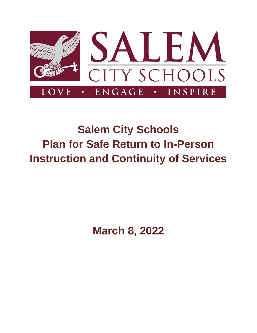

# **Salem City Schools Plan for Safe Return to In-Person Instruction and Continuity of Services**

**March 8, 2022**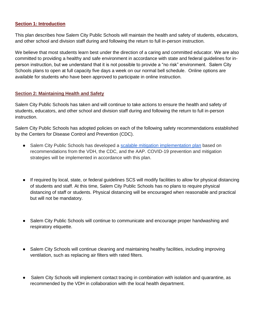#### **Section 1: Introduction**

This plan describes how Salem City Public Schools will maintain the health and safety of students, educators, and other school and division staff during and following the return to full in-person instruction.

We believe that most students learn best under the direction of a caring and committed educator. We are also committed to providing a healthy and safe environment in accordance with state and federal guidelines for inperson instruction, but we understand that it is not possible to provide a "no risk" environment. Salem City Schools plans to open at full capacity five days a week on our normal bell schedule. Online options are available for students who have been approved to participate in online instruction.

#### **Section 2: Maintaining Health and Safety**

Salem City Public Schools has taken and will continue to take actions to ensure the health and safety of students, educators, and other school and division staff during and following the return to full in-person instruction.

Salem City Public Schools has adopted policies on each of the following safety recommendations established by the Centers for Disease Control and Prevention (CDC).

- Salem City Public Schools has developed a [scalable mitigation implementation plan](https://drive.google.com/file/d/11uB9iUqEW2-3ffcwjQo7BVda0rjmrqxz/view?usp=sharing) based on recommendations from the VDH, the CDC, and the AAP. COVID-19 prevention and mitigation strategies will be implemented in accordance with this plan.
- If required by local, state, or federal guidelines SCS will modify facilities to allow for physical distancing of students and staff. At this time, Salem City Public Schools has no plans to require physical distancing of staff or students. Physical distancing will be encouraged when reasonable and practical but will not be mandatory.
- Salem City Public Schools will continue to communicate and encourage proper handwashing and respiratory etiquette.
- Salem City Schools will continue cleaning and maintaining healthy facilities, including improving ventilation, such as replacing air filters with rated filters.
- Salem City Schools will implement contact tracing in combination with isolation and quarantine, as recommended by the VDH in collaboration with the local health department.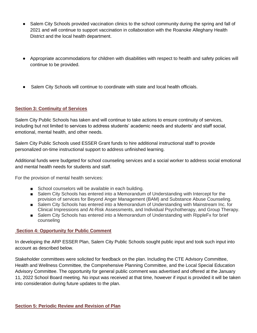- Salem City Schools provided vaccination clinics to the school community during the spring and fall of 2021 and will continue to support vaccination in collaboration with the Roanoke Alleghany Health District and the local health department.
- Appropriate accommodations for children with disabilities with respect to health and safety policies will continue to be provided.
- Salem City Schools will continue to coordinate with state and local health officials.

#### **Section 3: Continuity of Services**

Salem City Public Schools has taken and will continue to take actions to ensure continuity of services, including but not limited to services to address students' academic needs and students' and staff social, emotional, mental health, and other needs.

Salem City Public Schools used ESSER Grant funds to hire additional instructional staff to provide personalized on-time instructional support to address unfinished learning.

Additional funds were budgeted for school counseling services and a social worker to address social emotional and mental health needs for students and staff.

For the provision of mental health services:

- School counselors will be available in each building.
- Salem City Schools has entered into a Memorandum of Understanding with Intercept for the provision of services for Beyond Anger Management (BAM) and Substance Abuse Counseling.
- Salem City Schools has entered into a Memorandum of Understanding with Mainstream Inc. for Clinical Impressions and At-Risk Assessments, and Individual Psychotherapy, and Group Therapy.
- Salem City Schools has entered into a Memorandum of Understanding with RippleFx for brief counseling

#### **Section 4: Opportunity for Public Comment**

In developing the ARP ESSER Plan, Salem City Public Schools sought public input and took such input into account as described below.

Stakeholder committees were solicited for feedback on the plan. Including the CTE Advisory Committee, Health and Wellness Committee, the Comprehensive Planning Committee, and the Local Special Education Advisory Committee. The opportunity for general public comment was advertised and offered at the January 11, 2022 School Board meeting. No input was received at that time, however if input is provided it will be taken into consideration during future updates to the plan.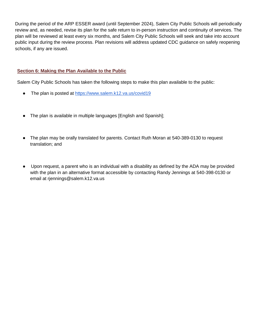During the period of the ARP ESSER award (until September 2024), Salem City Public Schools will periodically review and, as needed, revise its plan for the safe return to in-person instruction and continuity of services. The plan will be reviewed at least every six months, and Salem City Public Schools will seek and take into account public input during the review process. Plan revisions will address updated CDC guidance on safely reopening schools, if any are issued.

#### **Section 6: Making the Plan Available to the Public**

Salem City Public Schools has taken the following steps to make this plan available to the public:

- The plan is posted at <https://www.salem.k12.va.us/covid19>
- The plan is available in multiple languages [English and Spanish];
- The plan may be orally translated for parents. Contact Ruth Moran at 540-389-0130 to request translation; and
- Upon request, a parent who is an individual with a disability as defined by the ADA may be provided with the plan in an alternative format accessible by contacting Randy Jennings at 540-398-0130 or email at rjennings@salem.k12.va.us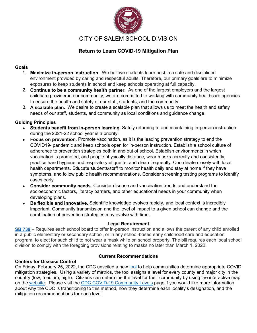

#### **Return to Learn COVID-19 Mitigation Plan**

#### **Goals**

- 1. **Maximize in-person instruction.** We believe students learn best in a safe and disciplined environment provided by caring and respectful adults. Therefore, our primary goals are to minimize exposures to keep students in school and keep schools operating at full capacity.
- 2. **Continue to be a community health partner.** As one of the largest employers and the largest childcare provider in our community, we are committed to working with community healthcare agencies to ensure the health and safety of our staff, students, and the community.
- 3. **A scalable plan.** We desire to create a scalable plan that allows us to meet the health and safety needs of our staff, students, and community as local conditions and guidance change.

#### **Guiding Principles**

- **Students benefit from in-person learning**. Safely returning to and maintaining in-person instruction during the 2021-22 school year is a priority.
- **Focus on prevention**. Promote vaccination, as it is the leading prevention strategy to end the COVID19- pandemic and keep schools open for in-person instruction. Establish a school culture of adherence to prevention strategies both in and out of school. Establish environments in which vaccination is promoted, and people physically distance, wear masks correctly and consistently, practice hand hygiene and respiratory etiquette, and clean frequently. Coordinate closely with local health departments. Educate students/staff to monitor health daily and stay at home if they have symptoms, and follow public health recommendations. Consider screening testing programs to identify cases early.
- **Consider community needs.** Consider disease and vaccination trends and understand the socioeconomic factors, literacy barriers, and other educational needs in your community when developing plans.
- **Be flexible and innovative.** Scientific knowledge evolves rapidly, and local context is incredibly important. Community transmission and the level of impact to a given school can change and the combination of prevention strategies may evolve with time.

#### **Legal Requirement**

**[SB 739](https://lis.virginia.gov/cgi-bin/legp604.exe?221+sum+SB739) –** Requires each school board to offer in-person instruction and allows the parent of any child enrolled in a public elementary or secondary school, or in any school-based early childhood care and education program, to elect for such child to not wear a mask while on school property. The bill requires each local school division to comply with the foregoing provisions relating to masks no later than March 1, 2022.

#### **Centers for Disease Control**

#### **Current Recommendations**

On Friday, February 25, 2022, the CDC unveiled a new [tool](https://www.cdc.gov/coronavirus/2019-ncov/your-health/covid-by-county.html) to help communities determine appropriate COVID mitigation strategies. Using a variety of metrics, the tool assigns a level for every county and major city in the country (low, medium, high). Citizens can determine the level for their community by using the interactive map on the [website.](https://www.cdc.gov/coronavirus/2019-ncov/your-health/covid-by-county.html) Please visit the [CDC COVID-19 Community Levels](https://www.cdc.gov/coronavirus/2019-ncov/science/community-levels.html) page if you would like more information about why the CDC is transitioning to this method, how they determine each locality's designation, and the mitigation recommendations for each level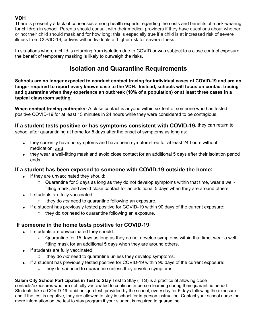#### **VDH**

There is presently a lack of consensus among health experts regarding the costs and benefits of mask-wearing for children in school. Parents should consult with their medical providers if they have questions about whether or not their child should mask and for how long; this is especially true if a child is at increased risk of severe illness from COVID-19, or lives with individuals at higher risk for severe illness.

In situations where a child is returning from isolation due to COVID or was subject to a close contact exposure, the benefit of temporary masking is likely to outweigh the risks.

## **Isolation and Quarantine Requirements**

**Schools are no longer expected to conduct contact tracing for individual cases of COVID-19 and are no longer required to report every known case to the VDH. Instead, schools will focus on contact tracing and quarantine when they experience an outbreak (10% of a population) or at least three cases in a typical classroom setting.** 

**When contact tracing outbreaks:** A close contact is anyone within six feet of someone who has tested positive COVID-19 for at least 15 minutes in 24 hours while they were considered to be contagious.

**If a student tests positive or has symptoms consistent with COVID-19**, they can return to school after quarantining at home for 5 days after the onset of symptoms as long as:

- they currently have no symptoms and have been symptom-free for at least 24 hours without medication, **and**
- they wear a well-fitting mask and avoid close contact for an additional 5 days after their isolation period ends.

#### **If a student has been exposed to someone with COVID-19 outside the home**:

- If they are unvaccinated they should:
	- $\circ$  Quarantine for 5 days as long as they do not develop symptoms within that time, wear a wellfitting mask, and avoid close contact for an additional 5 days when they are around others.
- If students are fully vaccinated:
	- o they do *not* need to quarantine following an exposure.
- If a student has previously tested positive for COVID-19 within 90 days of the current exposure: o they do *not* need to quarantine following an exposure.

#### **If someone in the home tests positive for COVID-19:**

- If students are unvaccinated they should:
	- $\circ$  Quarantine for 15 days as long as they do not develop symptoms within that time, wear a wellfitting mask for an additional 5 days when they are around others.
- If students are fully vaccinated:
	- they do *not* need to quarantine unless they develop symptoms.
	- If a student has previously tested positive for COVID-19 within 90 days of the current exposure:
		- o they do *not* need to quarantine unless they develop symptoms.

#### **Salem City School Participates in Test to Stay**-Test to Stay (TTS) is a practice of allowing close

contacts/exposures who are not fully vaccinated to continue in-person learning during their quarantine period. Students take a COVID-19 rapid antigen test, provided by the school, every day for 5 days following the exposure and if the test is negative, they are allowed to stay in school for in-person instruction. Contact your school nurse for more information on the test to stay program if your student is required to quarantine.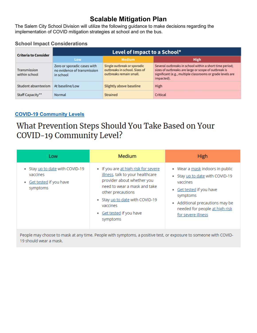# **Scalable Mitigation Plan**

The Salem City School Division will utilize the following guidance to make decisions regarding the implementation of COVID mitigation strategies at school and on the bus.

#### **School Impact Considerations**

| <b>Criteria to Consider</b>   | Level of Impact to a School*                                            |                                                                                         |                                                                                                                                                                                             |  |
|-------------------------------|-------------------------------------------------------------------------|-----------------------------------------------------------------------------------------|---------------------------------------------------------------------------------------------------------------------------------------------------------------------------------------------|--|
|                               | Low                                                                     | <b>Medium</b>                                                                           | <b>High</b>                                                                                                                                                                                 |  |
| Transmission<br>within school | Zero or sporadic cases with<br>no evidence of transmission<br>in school | Single outbreak or sporadic<br>outbreaks in school. Sizes of<br>outbreaks remain small. | Several outbreaks in school within a short time period;<br>sizes of outbreaks are large or scope of outbreak is<br>significant (e.g., multiple classrooms or grade levels are<br>impacted). |  |
| Student absenteeism           | At baseline/Low                                                         | Slightly above baseline                                                                 | <b>High</b>                                                                                                                                                                                 |  |
| Staff Capacity**              | Normal                                                                  | <b>Strained</b>                                                                         | Critical                                                                                                                                                                                    |  |

#### **[COVID-19 Community Levels](https://www.cdc.gov/coronavirus/2019-ncov/your-health/covid-by-county.html)**

# What Prevention Steps Should You Take Based on Your COVID-19 Community Level?

| Low                                                                                 | <b>Medium</b>                                                                                                                                                                                                                                               | <b>High</b>                                                                                                                                                                                                             |
|-------------------------------------------------------------------------------------|-------------------------------------------------------------------------------------------------------------------------------------------------------------------------------------------------------------------------------------------------------------|-------------------------------------------------------------------------------------------------------------------------------------------------------------------------------------------------------------------------|
| • Stay up to date with COVID-19<br>vaccines<br>• Get tested if you have<br>symptoms | • If you are at high risk for severe<br>illness, talk to your healthcare<br>provider about whether you<br>need to wear a mask and take<br>other precautions<br>Stay up to date with COVID-19<br>$\bullet$<br>vaccines<br>Get tested if you have<br>symptoms | • Wear a mask indoors in public<br>• Stay up to date with COVID-19<br>vaccines<br>Get tested if you have<br>٠<br>symptoms<br>Additional precautions may be<br>۰<br>needed for people at high risk<br>for severe illness |

People may choose to mask at any time. People with symptoms, a positive test, or exposure to someone with COVID-19 should wear a mask.